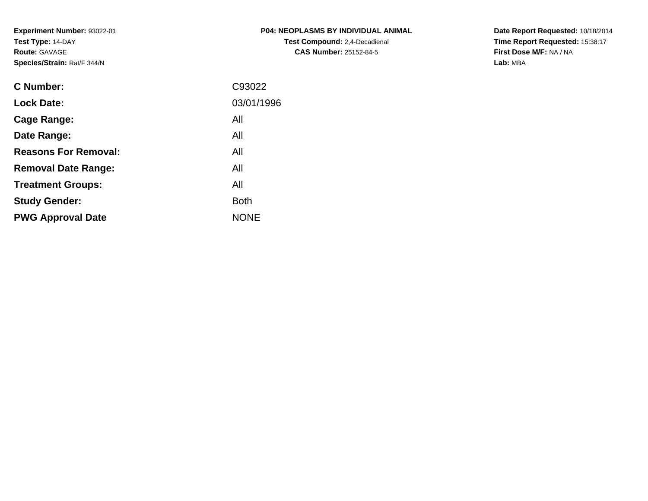| P04: NEOPLASMS BY INDIVIDUAL ANIMAL  |
|--------------------------------------|
| <b>Test Compound:</b> 2,4-Decadienal |
| <b>CAS Number: 25152-84-5</b>        |

**Date Report Requested:** 10/18/2014 **Time Report Requested:** 15:38:17**First Dose M/F:** NA / NA**Lab:** MBA

| <b>C</b> Number:            | C93022      |
|-----------------------------|-------------|
| <b>Lock Date:</b>           | 03/01/1996  |
| Cage Range:                 | All         |
| Date Range:                 | All         |
| <b>Reasons For Removal:</b> | All         |
| <b>Removal Date Range:</b>  | All         |
| <b>Treatment Groups:</b>    | All         |
| <b>Study Gender:</b>        | <b>Both</b> |
| <b>PWG Approval Date</b>    | <b>NONE</b> |
|                             |             |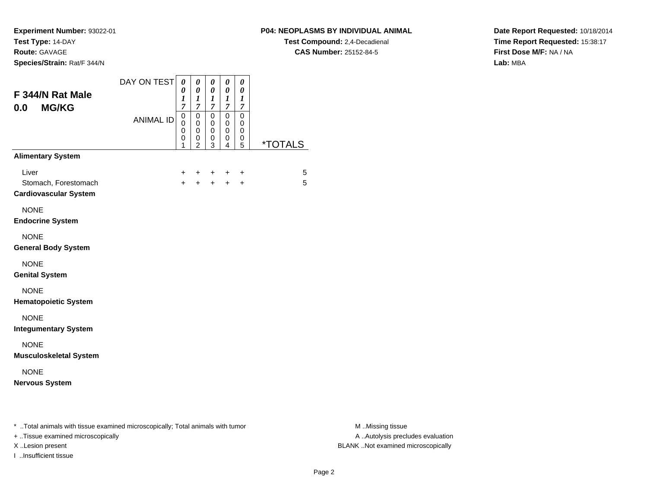**Experiment Number:** 93022-01**Test Type:** 14-DAY

#### **Route:** GAVAGE

**Species/Strain:** Rat/F 344/N

## **P04: NEOPLASMS BY INDIVIDUAL ANIMAL**

**Test Compound:** 2,4-Decadienal **CAS Number:** 25152-84-5

**Date Report Requested:** 10/18/2014**Time Report Requested:** 15:38:17**First Dose M/F:** NA / NA**Lab:** MBA

| F 344/N Rat Male<br><b>MG/KG</b><br>0.0                                                                             | DAY ON TEST<br><b>ANIMAL ID</b> | 0<br>0<br>$\boldsymbol{l}$<br>$\overline{7}$<br>$\mathsf 0$<br>0<br>0<br>0 | 0<br>$\boldsymbol{\theta}$<br>$\boldsymbol{l}$<br>$\overline{7}$<br>$\pmb{0}$<br>$\pmb{0}$<br>0<br>$\pmb{0}$<br>$\overline{2}$ | 0<br>$\boldsymbol{\theta}$<br>$\boldsymbol{l}$<br>$\boldsymbol{7}$<br>$\overline{0}$<br>$\pmb{0}$<br>0<br>$\pmb{0}$<br>3 | $\pmb{\theta}$<br>$\pmb{\theta}$<br>$\boldsymbol{l}$<br>$\overline{7}$<br>$\mathbf 0$<br>$\pmb{0}$<br>$\pmb{0}$<br>0<br>4 | $\pmb{\theta}$<br>$\pmb{\theta}$<br>$\boldsymbol{l}$<br>$\boldsymbol{7}$<br>$\overline{0}$<br>$\mathbf 0$<br>0<br>0<br>5 | <i><b>*TOTALS</b></i> |                                                       |
|---------------------------------------------------------------------------------------------------------------------|---------------------------------|----------------------------------------------------------------------------|--------------------------------------------------------------------------------------------------------------------------------|--------------------------------------------------------------------------------------------------------------------------|---------------------------------------------------------------------------------------------------------------------------|--------------------------------------------------------------------------------------------------------------------------|-----------------------|-------------------------------------------------------|
| <b>Alimentary System</b>                                                                                            |                                 |                                                                            |                                                                                                                                |                                                                                                                          |                                                                                                                           |                                                                                                                          |                       |                                                       |
| Liver<br>Stomach, Forestomach<br><b>Cardiovascular System</b>                                                       |                                 | +<br>$\ddot{}$                                                             |                                                                                                                                | $+$                                                                                                                      | +<br>$+$                                                                                                                  | $\ddot{}$<br>$\ddot{}$                                                                                                   | 5<br>5                |                                                       |
| <b>NONE</b><br><b>Endocrine System</b>                                                                              |                                 |                                                                            |                                                                                                                                |                                                                                                                          |                                                                                                                           |                                                                                                                          |                       |                                                       |
| <b>NONE</b><br><b>General Body System</b>                                                                           |                                 |                                                                            |                                                                                                                                |                                                                                                                          |                                                                                                                           |                                                                                                                          |                       |                                                       |
| <b>NONE</b><br><b>Genital System</b>                                                                                |                                 |                                                                            |                                                                                                                                |                                                                                                                          |                                                                                                                           |                                                                                                                          |                       |                                                       |
| <b>NONE</b><br><b>Hematopoietic System</b>                                                                          |                                 |                                                                            |                                                                                                                                |                                                                                                                          |                                                                                                                           |                                                                                                                          |                       |                                                       |
| <b>NONE</b><br><b>Integumentary System</b>                                                                          |                                 |                                                                            |                                                                                                                                |                                                                                                                          |                                                                                                                           |                                                                                                                          |                       |                                                       |
| <b>NONE</b><br><b>Musculoskeletal System</b>                                                                        |                                 |                                                                            |                                                                                                                                |                                                                                                                          |                                                                                                                           |                                                                                                                          |                       |                                                       |
| <b>NONE</b><br><b>Nervous System</b>                                                                                |                                 |                                                                            |                                                                                                                                |                                                                                                                          |                                                                                                                           |                                                                                                                          |                       |                                                       |
| * Total animals with tissue examined microscopically; Total animals with tumor<br>+ Tissue examined microscopically |                                 |                                                                            |                                                                                                                                |                                                                                                                          |                                                                                                                           |                                                                                                                          |                       | M Missing tissue<br>A  Autolysis precludes evaluation |

I ..Insufficient tissue

M ..Missing tissue X ..Lesion present BLANK ..Not examined microscopically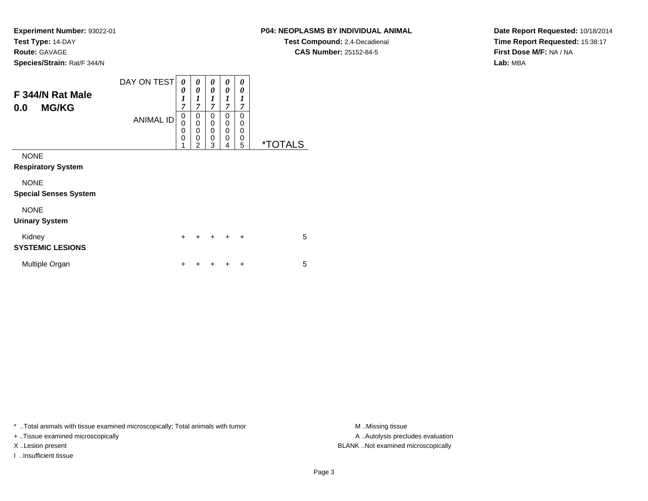**Experiment Number:** 93022-01**Test Type:** 14-DAY**Route:** GAVAGE

**Species/Strain:** Rat/F 344/N

# **P04: NEOPLASMS BY INDIVIDUAL ANIMAL**

**Test Compound:** 2,4-Decadienal **CAS Number:** 25152-84-5

**Date Report Requested:** 10/18/2014**Time Report Requested:** 15:38:17**First Dose M/F:** NA / NA**Lab:** MBA

| F 344/N Rat Male                            | DAY ON TEST      | 0<br>0<br>$\boldsymbol{l}$<br>$\overline{7}$              | 0<br>0<br>1<br>$\overline{7}$   | 0<br>0<br>$\boldsymbol{l}$<br>$\overline{7}$ | 0<br>0<br>1<br>7                       | 0<br>0<br>1<br>$\overline{7}$ |                       |
|---------------------------------------------|------------------|-----------------------------------------------------------|---------------------------------|----------------------------------------------|----------------------------------------|-------------------------------|-----------------------|
| <b>MG/KG</b><br>0.0                         | <b>ANIMAL ID</b> | 0<br>$\mathbf 0$<br>$\overline{0}$<br>$\overline{0}$<br>1 | 0<br>0<br>$\mathbf 0$<br>0<br>2 | 0<br>0<br>0<br>$\mathbf 0$<br>3              | $\Omega$<br>0<br>0<br>$\mathbf 0$<br>4 | 0<br>0<br>0<br>0<br>5         | <i><b>*TOTALS</b></i> |
| <b>NONE</b><br><b>Respiratory System</b>    |                  |                                                           |                                 |                                              |                                        |                               |                       |
| <b>NONE</b><br><b>Special Senses System</b> |                  |                                                           |                                 |                                              |                                        |                               |                       |
| <b>NONE</b><br><b>Urinary System</b>        |                  |                                                           |                                 |                                              |                                        |                               |                       |
| Kidney<br><b>SYSTEMIC LESIONS</b>           |                  | $\ddot{}$                                                 | +                               |                                              | $\ddot{}$                              | $\ddot{}$                     | 5                     |
| Multiple Organ                              |                  | ٠                                                         |                                 |                                              |                                        | ÷                             | 5                     |

\* ..Total animals with tissue examined microscopically; Total animals with tumor **M** . Missing tissue M ..Missing tissue

+ ..Tissue examined microscopically

I ..Insufficient tissue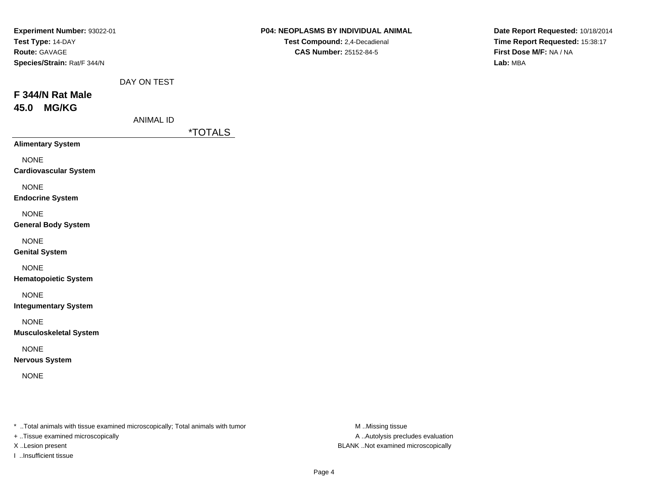| Experiment Number: 93022-01<br>Test Type: 14-DAY<br>Route: GAVAGE<br>Species/Strain: Rat/F 344/N |                  |                       | P04: NEOPLASMS BY INDIVIDUAL ANIMAL<br>Test Compound: 2,4-Decadienal<br><b>CAS Number: 25152-84-5</b> | Date Report Requested: 10/18/2014<br>Time Report Requested: 15:38:17<br>First Dose M/F: NA / NA<br>Lab: MBA |
|--------------------------------------------------------------------------------------------------|------------------|-----------------------|-------------------------------------------------------------------------------------------------------|-------------------------------------------------------------------------------------------------------------|
|                                                                                                  | DAY ON TEST      |                       |                                                                                                       |                                                                                                             |
| F 344/N Rat Male<br><b>MG/KG</b><br>45.0                                                         |                  |                       |                                                                                                       |                                                                                                             |
|                                                                                                  | <b>ANIMAL ID</b> | <i><b>*TOTALS</b></i> |                                                                                                       |                                                                                                             |
| <b>Alimentary System</b>                                                                         |                  |                       |                                                                                                       |                                                                                                             |
| <b>NONE</b><br><b>Cardiovascular System</b>                                                      |                  |                       |                                                                                                       |                                                                                                             |
| <b>NONE</b><br><b>Endocrine System</b>                                                           |                  |                       |                                                                                                       |                                                                                                             |
| <b>NONE</b><br><b>General Body System</b>                                                        |                  |                       |                                                                                                       |                                                                                                             |
| <b>NONE</b><br><b>Genital System</b>                                                             |                  |                       |                                                                                                       |                                                                                                             |
| <b>NONE</b><br><b>Hematopoietic System</b>                                                       |                  |                       |                                                                                                       |                                                                                                             |
| <b>NONE</b><br><b>Integumentary System</b>                                                       |                  |                       |                                                                                                       |                                                                                                             |
| <b>NONE</b><br><b>Musculoskeletal System</b>                                                     |                  |                       |                                                                                                       |                                                                                                             |
| <b>NONE</b><br><b>Nervous System</b>                                                             |                  |                       |                                                                                                       |                                                                                                             |
| <b>NONE</b>                                                                                      |                  |                       |                                                                                                       |                                                                                                             |

+ ..Tissue examined microscopically

I ..Insufficient tissue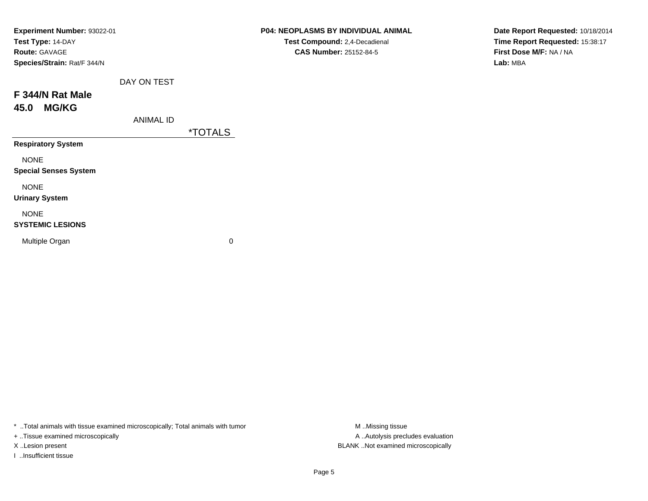| Experiment Number: 93022-01  |                       | P04: NEOPLASMS BY INDIVIDUAL ANIMAL | Date Report Requested: 10/18/2014 |
|------------------------------|-----------------------|-------------------------------------|-----------------------------------|
| Test Type: 14-DAY            |                       | Test Compound: 2,4-Decadienal       | Time Report Requested: 15:38:17   |
| <b>Route: GAVAGE</b>         |                       | <b>CAS Number: 25152-84-5</b>       | First Dose M/F: NA / NA           |
| Species/Strain: Rat/F 344/N  |                       |                                     | Lab: MBA                          |
| DAY ON TEST                  |                       |                                     |                                   |
| F 344/N Rat Male             |                       |                                     |                                   |
| <b>MG/KG</b><br>45.0         |                       |                                     |                                   |
| <b>ANIMAL ID</b>             |                       |                                     |                                   |
|                              | <i><b>*TOTALS</b></i> |                                     |                                   |
| <b>Respiratory System</b>    |                       |                                     |                                   |
| <b>NONE</b>                  |                       |                                     |                                   |
| <b>Special Senses System</b> |                       |                                     |                                   |
| <b>NONE</b>                  |                       |                                     |                                   |
| <b>Urinary System</b>        |                       |                                     |                                   |
| <b>NONE</b>                  |                       |                                     |                                   |
| <b>SYSTEMIC LESIONS</b>      |                       |                                     |                                   |
| Multiple Organ               | 0                     |                                     |                                   |
|                              |                       |                                     |                                   |

+ ..Tissue examined microscopically

I ..Insufficient tissue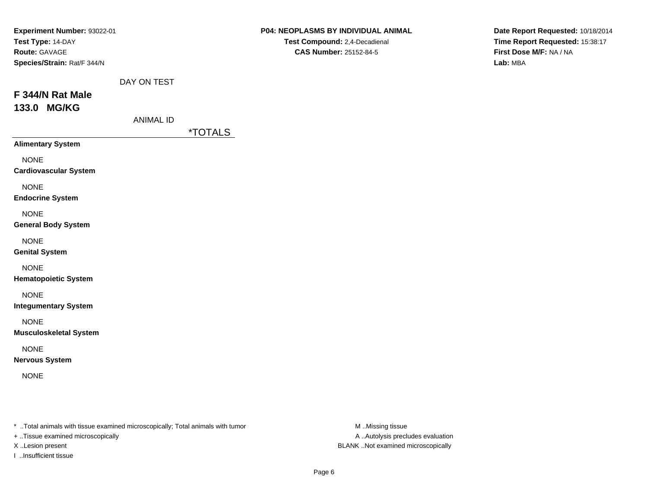| Experiment Number: 93022-01<br>Test Type: 14-DAY<br>Route: GAVAGE<br>Species/Strain: Rat/F 344/N |                                 |                       | P04: NEOPLASMS BY INDIVIDUAL ANIMAL<br>Test Compound: 2,4-Decadienal<br>CAS Number: 25152-84-5 | Date Report Requested: 10/18/2014<br>Time Report Requested: 15:38:17<br>First Dose M/F: NA / NA<br>Lab: MBA |
|--------------------------------------------------------------------------------------------------|---------------------------------|-----------------------|------------------------------------------------------------------------------------------------|-------------------------------------------------------------------------------------------------------------|
| F 344/N Rat Male<br>133.0 MG/KG                                                                  | DAY ON TEST<br><b>ANIMAL ID</b> | <i><b>*TOTALS</b></i> |                                                                                                |                                                                                                             |
| <b>Alimentary System</b><br><b>NONE</b>                                                          |                                 |                       |                                                                                                |                                                                                                             |
| <b>Cardiovascular System</b><br><b>NONE</b><br><b>Endocrine System</b>                           |                                 |                       |                                                                                                |                                                                                                             |
| <b>NONE</b><br><b>General Body System</b>                                                        |                                 |                       |                                                                                                |                                                                                                             |
| <b>NONE</b><br><b>Genital System</b>                                                             |                                 |                       |                                                                                                |                                                                                                             |
| <b>NONE</b><br><b>Hematopoietic System</b>                                                       |                                 |                       |                                                                                                |                                                                                                             |
| <b>NONE</b><br><b>Integumentary System</b>                                                       |                                 |                       |                                                                                                |                                                                                                             |
| <b>NONE</b><br><b>Musculoskeletal System</b>                                                     |                                 |                       |                                                                                                |                                                                                                             |
| <b>NONE</b><br><b>Nervous System</b>                                                             |                                 |                       |                                                                                                |                                                                                                             |
| <b>NONE</b>                                                                                      |                                 |                       |                                                                                                |                                                                                                             |
|                                                                                                  |                                 |                       |                                                                                                |                                                                                                             |

+ ..Tissue examined microscopically

I ..Insufficient tissue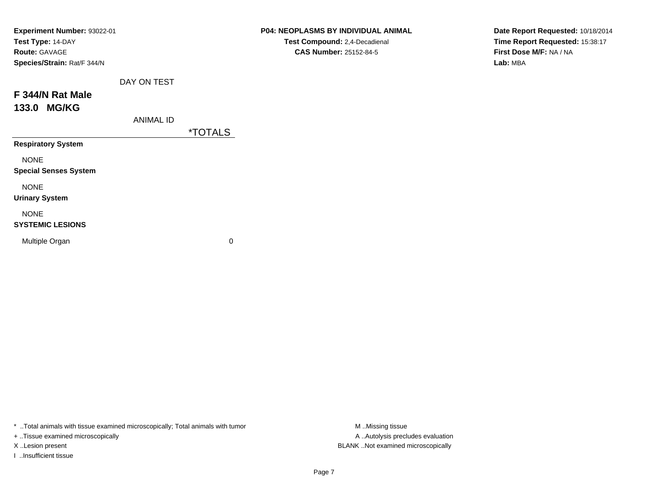| Experiment Number: 93022-01<br>Test Type: 14-DAY<br>Route: GAVAGE<br>Species/Strain: Rat/F 344/N |                  |                       | P04: NEOPLASMS BY INDIVIDUAL ANIMAL<br>Test Compound: 2,4-Decadienal<br><b>CAS Number: 25152-84-5</b> | Date Report Requested: 10/18/2014<br>Time Report Requested: 15:38:17<br>First Dose M/F: NA / NA<br>Lab: MBA |
|--------------------------------------------------------------------------------------------------|------------------|-----------------------|-------------------------------------------------------------------------------------------------------|-------------------------------------------------------------------------------------------------------------|
|                                                                                                  | DAY ON TEST      |                       |                                                                                                       |                                                                                                             |
| F 344/N Rat Male                                                                                 |                  |                       |                                                                                                       |                                                                                                             |
| 133.0 MG/KG                                                                                      |                  |                       |                                                                                                       |                                                                                                             |
|                                                                                                  | <b>ANIMAL ID</b> |                       |                                                                                                       |                                                                                                             |
|                                                                                                  |                  | <i><b>*TOTALS</b></i> |                                                                                                       |                                                                                                             |
| <b>Respiratory System</b>                                                                        |                  |                       |                                                                                                       |                                                                                                             |
| <b>NONE</b>                                                                                      |                  |                       |                                                                                                       |                                                                                                             |
| <b>Special Senses System</b>                                                                     |                  |                       |                                                                                                       |                                                                                                             |
| <b>NONE</b>                                                                                      |                  |                       |                                                                                                       |                                                                                                             |
| <b>Urinary System</b>                                                                            |                  |                       |                                                                                                       |                                                                                                             |
| <b>NONE</b>                                                                                      |                  |                       |                                                                                                       |                                                                                                             |
| <b>SYSTEMIC LESIONS</b>                                                                          |                  |                       |                                                                                                       |                                                                                                             |
| Multiple Organ                                                                                   |                  | $\mathbf 0$           |                                                                                                       |                                                                                                             |
|                                                                                                  |                  |                       |                                                                                                       |                                                                                                             |

+ ..Tissue examined microscopically

I ..Insufficient tissue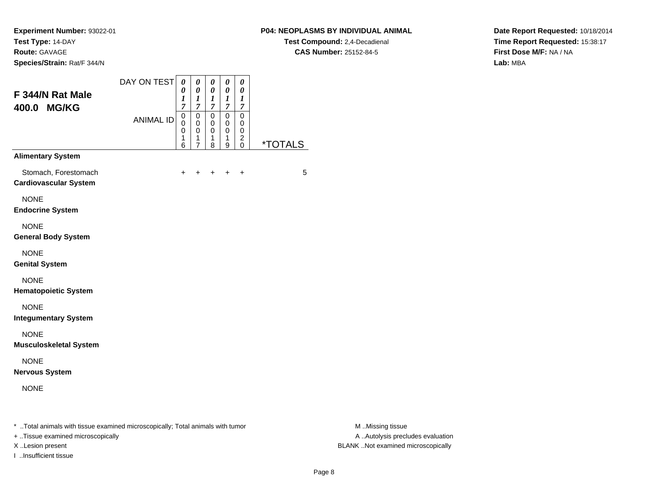## **P04: NEOPLASMS BY INDIVIDUAL ANIMAL**

**Test Compound:** 2,4-Decadienal **CAS Number:** 25152-84-5

**Date Report Requested:** 10/18/2014**Time Report Requested:** 15:38:17**First Dose M/F:** NA / NA**Lab:** MBA

| F 344/N Rat Male<br>400.0 MG/KG                      | DAY ON TEST      | 0<br>0<br>$\boldsymbol{l}$<br>$\overline{7}$ | 0<br>0<br>$\boldsymbol{l}$<br>$\overline{7}$ | 0<br>0<br>$\boldsymbol{l}$<br>$\overline{7}$        | 0<br>0<br>1<br>$\overline{7}$             | 0<br>0<br>1<br>$\overline{7}$ |                       |
|------------------------------------------------------|------------------|----------------------------------------------|----------------------------------------------|-----------------------------------------------------|-------------------------------------------|-------------------------------|-----------------------|
|                                                      | <b>ANIMAL ID</b> | $\mathsf 0$<br>0<br>0<br>1<br>6              | 0<br>$\mathbf 0$<br>0<br>1<br>$\overline{7}$ | $\mathsf 0$<br>$\mathbf 0$<br>$\mathbf 0$<br>1<br>8 | $\mathbf 0$<br>$\mathbf 0$<br>0<br>1<br>9 | 0<br>0<br>0<br>2<br>0         | <i><b>*TOTALS</b></i> |
| <b>Alimentary System</b>                             |                  |                                              |                                              |                                                     |                                           |                               |                       |
| Stomach, Forestomach<br><b>Cardiovascular System</b> |                  | $\ddot{}$                                    |                                              | ÷                                                   |                                           | $\ddot{}$                     | 5                     |
| <b>NONE</b><br><b>Endocrine System</b>               |                  |                                              |                                              |                                                     |                                           |                               |                       |
| <b>NONE</b><br><b>General Body System</b>            |                  |                                              |                                              |                                                     |                                           |                               |                       |
| <b>NONE</b><br><b>Genital System</b>                 |                  |                                              |                                              |                                                     |                                           |                               |                       |
| <b>NONE</b><br><b>Hematopoietic System</b>           |                  |                                              |                                              |                                                     |                                           |                               |                       |
| <b>NONE</b><br><b>Integumentary System</b>           |                  |                                              |                                              |                                                     |                                           |                               |                       |
| <b>NONE</b><br><b>Musculoskeletal System</b>         |                  |                                              |                                              |                                                     |                                           |                               |                       |
| <b>NONE</b><br><b>Nervous System</b>                 |                  |                                              |                                              |                                                     |                                           |                               |                       |
| <b>NONE</b>                                          |                  |                                              |                                              |                                                     |                                           |                               |                       |

+ ..Tissue examined microscopically

I ..Insufficient tissue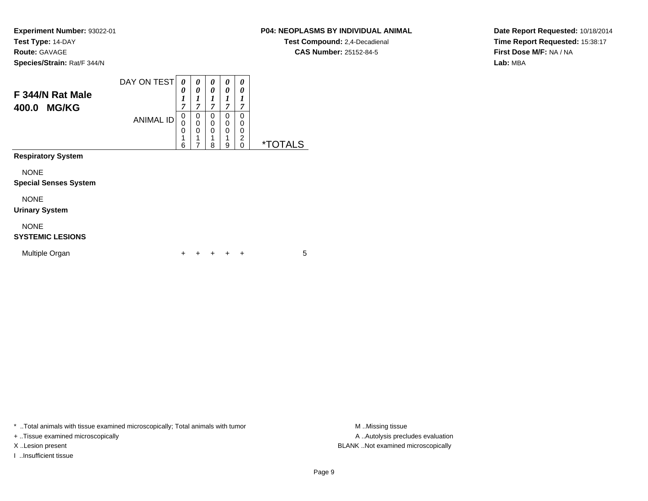## **P04: NEOPLASMS BY INDIVIDUAL ANIMAL**

**Test Compound:** 2,4-Decadienal **CAS Number:** 25152-84-5

**Date Report Requested:** 10/18/2014**Time Report Requested:** 15:38:17**First Dose M/F:** NA / NA**Lab:** MBA

| F 344/N Rat Male<br><b>MG/KG</b><br>400.0   | DAY ON TEST<br><b>ANIMAL ID</b> | 0<br>0<br>$\boldsymbol{l}$<br>7<br>0<br>0<br>0<br>1<br>6 | 0<br>0<br>1<br>$\overline{7}$<br>0<br>0<br>0<br>1<br>7 | 0<br>0<br>1<br>$\overline{7}$<br>0<br>$\mathbf 0$<br>0<br>1<br>8 | 0<br>0<br>1<br>$\overline{7}$<br>0<br>0<br>$\Omega$<br>1<br>9 | 0<br>0<br>1<br>7<br>0<br>0<br>0<br>$\overline{2}$<br>$\Omega$ | <i><b>*TOTALS</b></i> |
|---------------------------------------------|---------------------------------|----------------------------------------------------------|--------------------------------------------------------|------------------------------------------------------------------|---------------------------------------------------------------|---------------------------------------------------------------|-----------------------|
| <b>Respiratory System</b>                   |                                 |                                                          |                                                        |                                                                  |                                                               |                                                               |                       |
| <b>NONE</b><br><b>Special Senses System</b> |                                 |                                                          |                                                        |                                                                  |                                                               |                                                               |                       |
| <b>NONE</b><br><b>Urinary System</b>        |                                 |                                                          |                                                        |                                                                  |                                                               |                                                               |                       |
| <b>NONE</b><br><b>SYSTEMIC LESIONS</b>      |                                 |                                                          |                                                        |                                                                  |                                                               |                                                               |                       |
| Multiple Organ                              |                                 | +                                                        |                                                        | ٠                                                                |                                                               | $\ddot{}$                                                     | 5                     |

\* ..Total animals with tissue examined microscopically; Total animals with tumor **M** . Missing tissue M ..Missing tissue

+ ..Tissue examined microscopically

I ..Insufficient tissue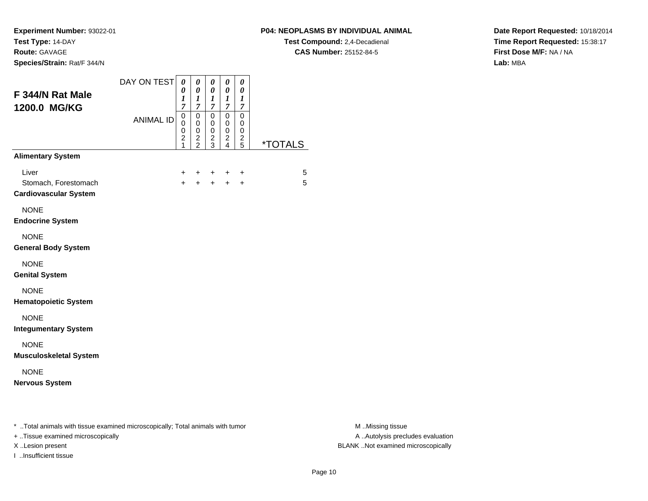I ..Insufficient tissue

# **P04: NEOPLASMS BY INDIVIDUAL ANIMAL**

**Test Compound:** 2,4-Decadienal **CAS Number:** 25152-84-5

**Date Report Requested:** 10/18/2014**Time Report Requested:** 15:38:17**First Dose M/F:** NA / NA**Lab:** MBA

| F 344/N Rat Male<br>1200.0 MG/KG                                                                                    | DAY ON TEST<br><b>ANIMAL ID</b> | 0<br>0<br>$\boldsymbol{l}$<br>7<br>0<br>0<br>0<br>$\boldsymbol{2}$<br>1 | $\pmb{\theta}$<br>$\pmb{\theta}$<br>$\boldsymbol{l}$<br>$\boldsymbol{7}$<br>$\pmb{0}$<br>$\mathbf 0$<br>$\pmb{0}$<br>$\frac{2}{2}$ | $\boldsymbol{\theta}$<br>$\boldsymbol{\theta}$<br>$\boldsymbol{l}$<br>$\boldsymbol{7}$<br>$\overline{0}$<br>$\mathbf 0$<br>$\mathsf{O}\xspace$<br>$\frac{2}{3}$ | $\boldsymbol{\theta}$<br>$\boldsymbol{\theta}$<br>$\boldsymbol{l}$<br>$\boldsymbol{7}$<br>$\overline{0}$<br>$\pmb{0}$<br>$\pmb{0}$<br>$\frac{2}{4}$ | $\pmb{\theta}$<br>$\boldsymbol{\theta}$<br>$\boldsymbol{l}$<br>$\boldsymbol{7}$<br>$\mathbf 0$<br>0<br>$\pmb{0}$<br>$\frac{2}{5}$ | <i><b>*TOTALS</b></i> |                                                       |
|---------------------------------------------------------------------------------------------------------------------|---------------------------------|-------------------------------------------------------------------------|------------------------------------------------------------------------------------------------------------------------------------|-----------------------------------------------------------------------------------------------------------------------------------------------------------------|-----------------------------------------------------------------------------------------------------------------------------------------------------|-----------------------------------------------------------------------------------------------------------------------------------|-----------------------|-------------------------------------------------------|
| <b>Alimentary System</b>                                                                                            |                                 |                                                                         |                                                                                                                                    |                                                                                                                                                                 |                                                                                                                                                     |                                                                                                                                   |                       |                                                       |
| Liver<br>Stomach, Forestomach<br><b>Cardiovascular System</b>                                                       |                                 | $+$                                                                     | $+$                                                                                                                                | $+$                                                                                                                                                             | +<br>$+$                                                                                                                                            | +<br>$\ddot{}$                                                                                                                    | 5<br>5                |                                                       |
| <b>NONE</b><br><b>Endocrine System</b>                                                                              |                                 |                                                                         |                                                                                                                                    |                                                                                                                                                                 |                                                                                                                                                     |                                                                                                                                   |                       |                                                       |
| <b>NONE</b><br><b>General Body System</b>                                                                           |                                 |                                                                         |                                                                                                                                    |                                                                                                                                                                 |                                                                                                                                                     |                                                                                                                                   |                       |                                                       |
| <b>NONE</b><br><b>Genital System</b>                                                                                |                                 |                                                                         |                                                                                                                                    |                                                                                                                                                                 |                                                                                                                                                     |                                                                                                                                   |                       |                                                       |
| <b>NONE</b><br><b>Hematopoietic System</b>                                                                          |                                 |                                                                         |                                                                                                                                    |                                                                                                                                                                 |                                                                                                                                                     |                                                                                                                                   |                       |                                                       |
| <b>NONE</b><br><b>Integumentary System</b>                                                                          |                                 |                                                                         |                                                                                                                                    |                                                                                                                                                                 |                                                                                                                                                     |                                                                                                                                   |                       |                                                       |
| <b>NONE</b><br><b>Musculoskeletal System</b>                                                                        |                                 |                                                                         |                                                                                                                                    |                                                                                                                                                                 |                                                                                                                                                     |                                                                                                                                   |                       |                                                       |
| <b>NONE</b><br><b>Nervous System</b>                                                                                |                                 |                                                                         |                                                                                                                                    |                                                                                                                                                                 |                                                                                                                                                     |                                                                                                                                   |                       |                                                       |
| * Total animals with tissue examined microscopically; Total animals with tumor<br>+ Tissue examined microscopically |                                 |                                                                         |                                                                                                                                    |                                                                                                                                                                 |                                                                                                                                                     |                                                                                                                                   |                       | M Missing tissue<br>A  Autolysis precludes evaluation |

M ..Missing tissue X ..Lesion present BLANK ..Not examined microscopically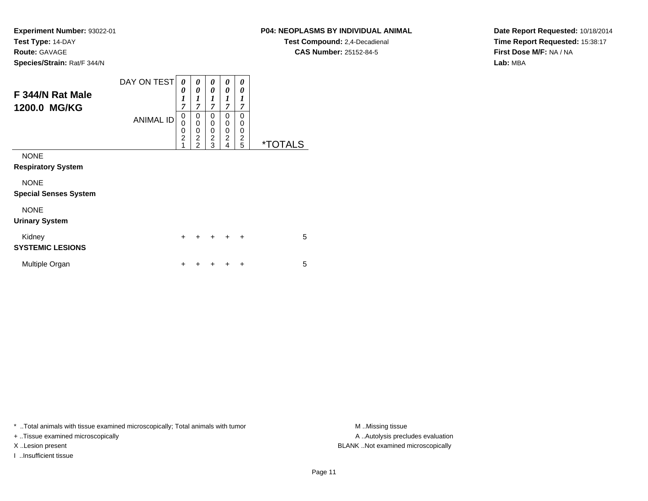## **P04: NEOPLASMS BY INDIVIDUAL ANIMAL**

**Test Compound:** 2,4-Decadienal **CAS Number:** 25152-84-5

**Date Report Requested:** 10/18/2014**Time Report Requested:** 15:38:17**First Dose M/F:** NA / NA**Lab:** MBA

| F 344/N Rat Male<br>1200.0 MG/KG            | DAY ON TEST<br><b>ANIMAL ID</b> | 0<br>0<br>$\boldsymbol{l}$<br>7<br>0<br>$\mathbf 0$<br>$\mathbf 0$<br>$\overline{2}$<br>1 | 0<br>0<br>$\boldsymbol{l}$<br>$\overline{7}$<br>0<br>0<br>0<br>$\overline{2}$<br>$\mathcal{P}$ | 0<br>0<br>$\boldsymbol{l}$<br>$\overline{\tau}$<br>0<br>0<br>0<br>$\overline{c}$<br>3 | 0<br>0<br>1<br>7<br>0<br>0<br>0<br>$\overline{c}$<br>4 | 0<br>0<br>$\boldsymbol{l}$<br>$\overline{7}$<br>0<br>0<br>0<br>$\overline{c}$<br>5 | <i><b>*TOTALS</b></i> |
|---------------------------------------------|---------------------------------|-------------------------------------------------------------------------------------------|------------------------------------------------------------------------------------------------|---------------------------------------------------------------------------------------|--------------------------------------------------------|------------------------------------------------------------------------------------|-----------------------|
| <b>NONE</b><br><b>Respiratory System</b>    |                                 |                                                                                           |                                                                                                |                                                                                       |                                                        |                                                                                    |                       |
| <b>NONE</b><br><b>Special Senses System</b> |                                 |                                                                                           |                                                                                                |                                                                                       |                                                        |                                                                                    |                       |
| <b>NONE</b><br><b>Urinary System</b>        |                                 |                                                                                           |                                                                                                |                                                                                       |                                                        |                                                                                    |                       |
| Kidney<br><b>SYSTEMIC LESIONS</b>           |                                 | $\ddot{}$                                                                                 | ÷                                                                                              | $\ddot{}$                                                                             | $\ddot{}$                                              | $\ddot{}$                                                                          | 5                     |
| Multiple Organ                              |                                 | ┿                                                                                         |                                                                                                |                                                                                       |                                                        | ٠                                                                                  | 5                     |

\* ..Total animals with tissue examined microscopically; Total animals with tumor **M** . Missing tissue M ..Missing tissue

+ ..Tissue examined microscopically

I ..Insufficient tissue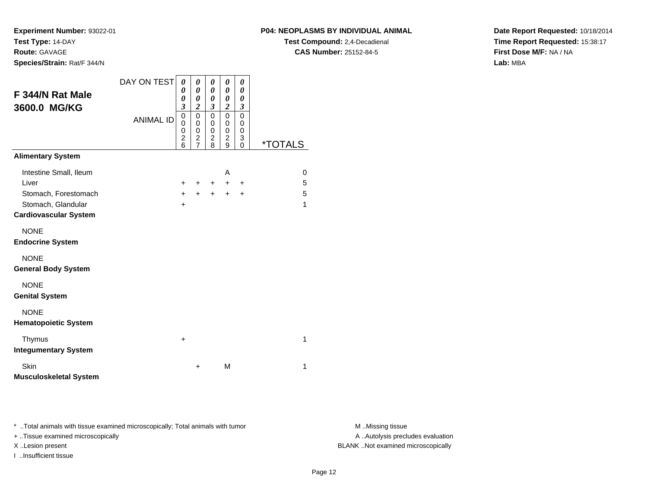## **P04: NEOPLASMS BY INDIVIDUAL ANIMAL**

**Test Compound:** 2,4-Decadienal **CAS Number:** 25152-84-5

**Date Report Requested:** 10/18/2014**Time Report Requested:** 15:38:17**First Dose M/F:** NA / NA**Lab:** MBA

| F 344/N Rat Male<br>3600.0 MG/KG                   | DAY ON TEST<br><b>ANIMAL ID</b> | 0<br>0<br>0<br>3<br>0<br>0<br>0<br>$\overline{\mathbf{c}}$ | 0<br>$\pmb{\theta}$<br>$\boldsymbol{\theta}$<br>$\boldsymbol{2}$<br>$\mathbf 0$<br>0<br>0<br>$\frac{2}{7}$ | 0<br>$\boldsymbol{\theta}$<br>$\boldsymbol{\theta}$<br>$\mathfrak{z}$<br>$\mathbf 0$<br>0<br>$\mathbf 0$<br>$\overline{\mathbf{c}}$ | 0<br>0<br>0<br>$\overline{c}$<br>$\mathbf 0$<br>0<br>0<br>$\boldsymbol{2}$ | 0<br>0<br>0<br>$\mathfrak{z}$<br>0<br>0<br>0<br>3 |                       |
|----------------------------------------------------|---------------------------------|------------------------------------------------------------|------------------------------------------------------------------------------------------------------------|-------------------------------------------------------------------------------------------------------------------------------------|----------------------------------------------------------------------------|---------------------------------------------------|-----------------------|
| <b>Alimentary System</b>                           |                                 | 6                                                          |                                                                                                            | 8                                                                                                                                   | 9                                                                          | $\Omega$                                          | <i><b>*TOTALS</b></i> |
|                                                    |                                 |                                                            |                                                                                                            |                                                                                                                                     |                                                                            |                                                   |                       |
| Intestine Small, Ileum                             |                                 |                                                            |                                                                                                            |                                                                                                                                     | A                                                                          |                                                   | 0                     |
| Liver                                              |                                 | $\pm$                                                      | $\pm$                                                                                                      | $+$ $-$                                                                                                                             | $+$                                                                        | $\ddot{}$                                         | 5                     |
| Stomach, Forestomach                               |                                 | $+$                                                        | $+$                                                                                                        | $+$                                                                                                                                 | $+$                                                                        | $\ddot{+}$                                        | 5                     |
| Stomach, Glandular<br><b>Cardiovascular System</b> |                                 | $\pm$                                                      |                                                                                                            |                                                                                                                                     |                                                                            |                                                   | 1                     |
|                                                    |                                 |                                                            |                                                                                                            |                                                                                                                                     |                                                                            |                                                   |                       |
| <b>NONE</b><br><b>Endocrine System</b>             |                                 |                                                            |                                                                                                            |                                                                                                                                     |                                                                            |                                                   |                       |
| <b>NONE</b><br><b>General Body System</b>          |                                 |                                                            |                                                                                                            |                                                                                                                                     |                                                                            |                                                   |                       |
| <b>NONE</b><br><b>Genital System</b>               |                                 |                                                            |                                                                                                            |                                                                                                                                     |                                                                            |                                                   |                       |
| <b>NONE</b><br><b>Hematopoietic System</b>         |                                 |                                                            |                                                                                                            |                                                                                                                                     |                                                                            |                                                   |                       |
| Thymus<br><b>Integumentary System</b>              |                                 | +                                                          |                                                                                                            |                                                                                                                                     |                                                                            |                                                   | $\mathbf{1}$          |
| Skin<br><b>Musculoskeletal System</b>              |                                 |                                                            | +                                                                                                          |                                                                                                                                     | M                                                                          |                                                   | 1                     |

\* ..Total animals with tissue examined microscopically; Total animals with tumor **M** . Missing tissue M ..Missing tissue

+ ..Tissue examined microscopically

I ..Insufficient tissue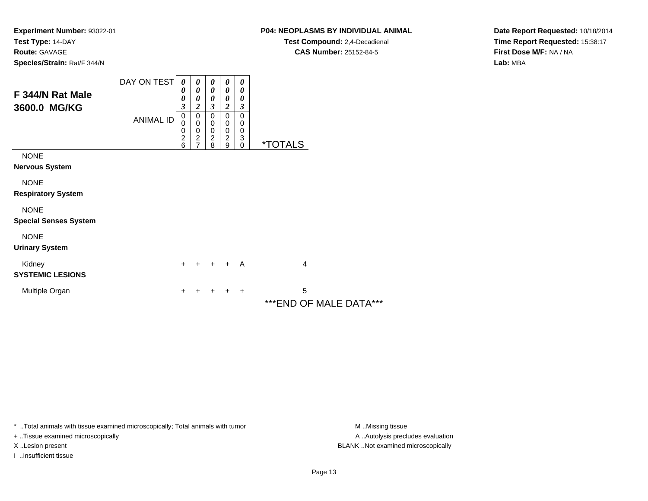## **P04: NEOPLASMS BY INDIVIDUAL ANIMAL**

**Test Compound:** 2,4-Decadienal **CAS Number:** 25152-84-5

**Date Report Requested:** 10/18/2014**Time Report Requested:** 15:38:17**First Dose M/F:** NA / NA**Lab:** MBA

| F 344/N Rat Male<br>3600.0 MG/KG            | DAY ON TEST<br><b>ANIMAL ID</b> | 0<br>0<br>0<br>3<br>0<br>0<br>0<br>$\overline{c}$<br>6 | 0<br>$\boldsymbol{\theta}$<br>0<br>$\boldsymbol{2}$<br>$\mathbf 0$<br>$\pmb{0}$<br>$\mathbf 0$<br>$\overline{2}$<br>$\overline{7}$ | $\boldsymbol{\theta}$<br>$\boldsymbol{\theta}$<br>0<br>$\overline{\mathbf{3}}$<br>$\mathbf 0$<br>$\pmb{0}$<br>$\pmb{0}$<br>$\boldsymbol{2}$<br>8 | 0<br>0<br>0<br>$\overline{2}$<br>$\mathbf 0$<br>$\mathbf 0$<br>$\pmb{0}$<br>$\overline{2}$<br>9 | $\boldsymbol{\theta}$<br>0<br>0<br>$\overline{\mathbf{3}}$<br>$\mathbf 0$<br>0<br>$\mathbf 0$<br>3<br>$\mathbf 0$ | <i><b>*TOTALS</b></i>        |
|---------------------------------------------|---------------------------------|--------------------------------------------------------|------------------------------------------------------------------------------------------------------------------------------------|--------------------------------------------------------------------------------------------------------------------------------------------------|-------------------------------------------------------------------------------------------------|-------------------------------------------------------------------------------------------------------------------|------------------------------|
| <b>NONE</b><br><b>Nervous System</b>        |                                 |                                                        |                                                                                                                                    |                                                                                                                                                  |                                                                                                 |                                                                                                                   |                              |
| <b>NONE</b><br><b>Respiratory System</b>    |                                 |                                                        |                                                                                                                                    |                                                                                                                                                  |                                                                                                 |                                                                                                                   |                              |
| <b>NONE</b><br><b>Special Senses System</b> |                                 |                                                        |                                                                                                                                    |                                                                                                                                                  |                                                                                                 |                                                                                                                   |                              |
| <b>NONE</b><br><b>Urinary System</b>        |                                 |                                                        |                                                                                                                                    |                                                                                                                                                  |                                                                                                 |                                                                                                                   |                              |
| Kidney<br><b>SYSTEMIC LESIONS</b>           |                                 | $\ddot{}$                                              | $+$                                                                                                                                | $+$                                                                                                                                              | $+$                                                                                             | A                                                                                                                 | 4                            |
| Multiple Organ                              |                                 | +                                                      |                                                                                                                                    | ٠                                                                                                                                                | +                                                                                               | $\ddot{}$                                                                                                         | 5<br>*** END OF MALE DATA*** |

\* ..Total animals with tissue examined microscopically; Total animals with tumor **M** . Missing tissue M ..Missing tissue

+ ..Tissue examined microscopically

I ..Insufficient tissue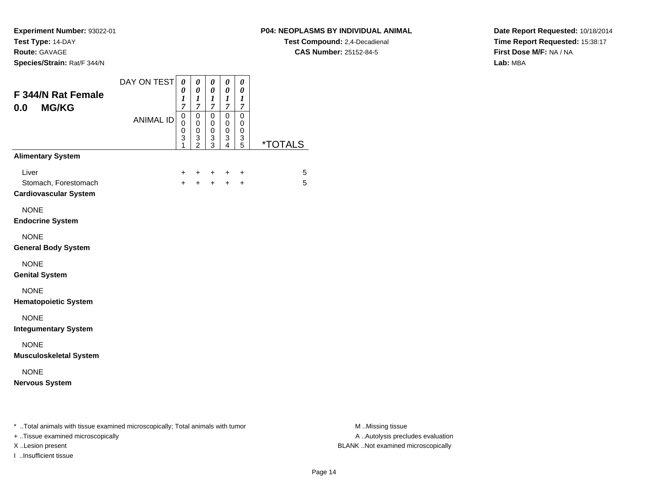**Experiment Number:** 93022-01**Test Type:** 14-DAY

**Route:** GAVAGE

**Species/Strain:** Rat/F 344/N

# **P04: NEOPLASMS BY INDIVIDUAL ANIMAL**

**Test Compound:** 2,4-Decadienal **CAS Number:** 25152-84-5

**Date Report Requested:** 10/18/2014**Time Report Requested:** 15:38:17**First Dose M/F:** NA / NA**Lab:** MBA

| F 344/N Rat Female<br><b>MG/KG</b><br>0.0                                                                            | DAY ON TEST<br><b>ANIMAL ID</b> | 0<br>0<br>1<br>7<br>0<br>0<br>0<br>3<br>1 | $\pmb{\theta}$<br>$\pmb{\theta}$<br>$\boldsymbol{l}$<br>7<br>0<br>$\mathbf 0$<br>0<br>$\frac{3}{2}$ | $\pmb{\theta}$<br>$\boldsymbol{\theta}$<br>$\boldsymbol{l}$<br>$\boldsymbol{7}$<br>$\pmb{0}$<br>$\mathbf 0$<br>0<br>$\frac{3}{3}$ | $\pmb{\theta}$<br>$\pmb{\theta}$<br>$\boldsymbol{l}$<br>$\overline{7}$<br>$\pmb{0}$<br>$\mathbf 0$<br>$\pmb{0}$<br>$\ensuremath{\mathsf{3}}$<br>4 | $\boldsymbol{\theta}$<br>0<br>1<br>$\overline{7}$<br>$\mathbf 0$<br>0<br>0<br>$\ensuremath{\mathsf{3}}$<br>5 | <i><b>*TOTALS</b></i> |                                                       |
|----------------------------------------------------------------------------------------------------------------------|---------------------------------|-------------------------------------------|-----------------------------------------------------------------------------------------------------|-----------------------------------------------------------------------------------------------------------------------------------|---------------------------------------------------------------------------------------------------------------------------------------------------|--------------------------------------------------------------------------------------------------------------|-----------------------|-------------------------------------------------------|
| <b>Alimentary System</b>                                                                                             |                                 |                                           |                                                                                                     |                                                                                                                                   |                                                                                                                                                   |                                                                                                              |                       |                                                       |
| Liver<br>Stomach, Forestomach<br><b>Cardiovascular System</b>                                                        |                                 | +<br>$\ddot{+}$                           |                                                                                                     | $\ddot{+}$                                                                                                                        | +<br>$\ddot{+}$                                                                                                                                   | +<br>$\ddot{}$                                                                                               | 5<br>5                |                                                       |
| <b>NONE</b><br><b>Endocrine System</b>                                                                               |                                 |                                           |                                                                                                     |                                                                                                                                   |                                                                                                                                                   |                                                                                                              |                       |                                                       |
| <b>NONE</b><br><b>General Body System</b>                                                                            |                                 |                                           |                                                                                                     |                                                                                                                                   |                                                                                                                                                   |                                                                                                              |                       |                                                       |
| <b>NONE</b><br><b>Genital System</b>                                                                                 |                                 |                                           |                                                                                                     |                                                                                                                                   |                                                                                                                                                   |                                                                                                              |                       |                                                       |
| <b>NONE</b><br><b>Hematopoietic System</b>                                                                           |                                 |                                           |                                                                                                     |                                                                                                                                   |                                                                                                                                                   |                                                                                                              |                       |                                                       |
| <b>NONE</b><br><b>Integumentary System</b>                                                                           |                                 |                                           |                                                                                                     |                                                                                                                                   |                                                                                                                                                   |                                                                                                              |                       |                                                       |
| <b>NONE</b><br><b>Musculoskeletal System</b>                                                                         |                                 |                                           |                                                                                                     |                                                                                                                                   |                                                                                                                                                   |                                                                                                              |                       |                                                       |
| <b>NONE</b><br><b>Nervous System</b>                                                                                 |                                 |                                           |                                                                                                     |                                                                                                                                   |                                                                                                                                                   |                                                                                                              |                       |                                                       |
| *  Total animals with tissue examined microscopically; Total animals with tumor<br>+ Tissue examined microscopically |                                 |                                           |                                                                                                     |                                                                                                                                   |                                                                                                                                                   |                                                                                                              |                       | M Missing tissue<br>A  Autolysis precludes evaluation |

I ..Insufficient tissue

M ..Missing tissue X ..Lesion present BLANK ..Not examined microscopically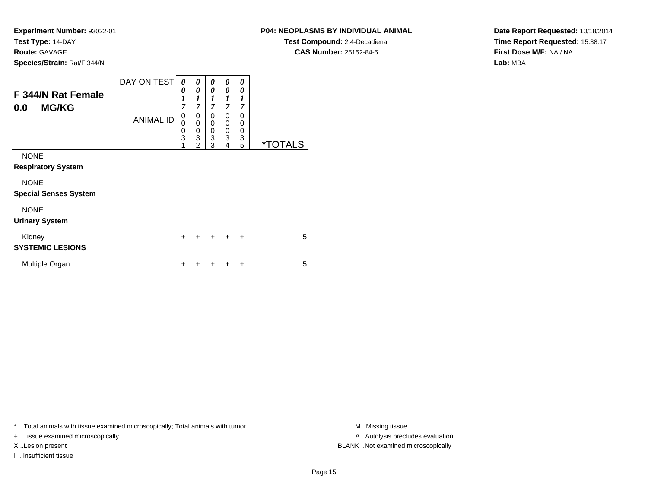**Experiment Number:** 93022-01**Test Type:** 14-DAY**Route:** GAVAGE

# **Species/Strain:** Rat/F 344/N

**P04: NEOPLASMS BY INDIVIDUAL ANIMAL**

**Test Compound:** 2,4-Decadienal **CAS Number:** 25152-84-5

**Date Report Requested:** 10/18/2014**Time Report Requested:** 15:38:17**First Dose M/F:** NA / NA**Lab:** MBA

| F 344/N Rat Female<br><b>MG/KG</b><br>0.0   | DAY ON TEST      | 0<br>0<br>$\boldsymbol{l}$<br>7 | 0<br>0<br>1<br>$\overline{7}$                           | 0<br>0<br>$\boldsymbol{l}$<br>$\overline{7}$      | 0<br>0<br>$\boldsymbol{l}$<br>$\overline{7}$ | 0<br>0<br>$\boldsymbol{l}$<br>7 |                       |
|---------------------------------------------|------------------|---------------------------------|---------------------------------------------------------|---------------------------------------------------|----------------------------------------------|---------------------------------|-----------------------|
|                                             | <b>ANIMAL ID</b> |                                 | 0<br>0<br>$\pmb{0}$<br>$\overline{3}$<br>$\overline{2}$ | 0<br>0<br>$\boldsymbol{0}$<br>$\overline{3}$<br>3 | 0<br>0<br>0<br>3<br>4                        | $\Omega$<br>0<br>0<br>3<br>5    | <i><b>*TOTALS</b></i> |
| <b>NONE</b><br><b>Respiratory System</b>    |                  |                                 |                                                         |                                                   |                                              |                                 |                       |
| <b>NONE</b><br><b>Special Senses System</b> |                  |                                 |                                                         |                                                   |                                              |                                 |                       |
| <b>NONE</b><br><b>Urinary System</b>        |                  |                                 |                                                         |                                                   |                                              |                                 |                       |
| Kidney<br><b>SYSTEMIC LESIONS</b>           |                  | $\ddot{}$                       |                                                         | $\ddot{}$                                         | $\div$                                       | $\ddot{}$                       | 5                     |
| Multiple Organ                              |                  | +                               |                                                         |                                                   | ٠                                            | ÷                               | 5                     |

\* ..Total animals with tissue examined microscopically; Total animals with tumor **M** . Missing tissue M ..Missing tissue

+ ..Tissue examined microscopically

I ..Insufficient tissue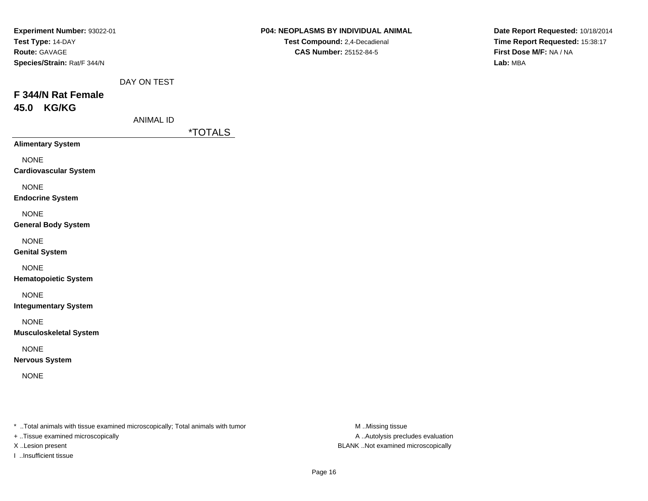| Experiment Number: 93022-01   |                  |                       | P04: NEOPLASMS BY INDIVIDUAL ANIMAL | Date Report Requested: 10/18/2014 |  |  |
|-------------------------------|------------------|-----------------------|-------------------------------------|-----------------------------------|--|--|
| Test Type: 14-DAY             |                  |                       | Test Compound: 2,4-Decadienal       | Time Report Requested: 15:38:17   |  |  |
| Route: GAVAGE                 |                  |                       | <b>CAS Number: 25152-84-5</b>       | First Dose M/F: NA / NA           |  |  |
| Species/Strain: Rat/F 344/N   |                  |                       |                                     | Lab: MBA                          |  |  |
|                               | DAY ON TEST      |                       |                                     |                                   |  |  |
| F 344/N Rat Female            |                  |                       |                                     |                                   |  |  |
| 45.0 KG/KG                    |                  |                       |                                     |                                   |  |  |
|                               | <b>ANIMAL ID</b> |                       |                                     |                                   |  |  |
|                               |                  | <i><b>*TOTALS</b></i> |                                     |                                   |  |  |
| <b>Alimentary System</b>      |                  |                       |                                     |                                   |  |  |
| <b>NONE</b>                   |                  |                       |                                     |                                   |  |  |
| <b>Cardiovascular System</b>  |                  |                       |                                     |                                   |  |  |
| <b>NONE</b>                   |                  |                       |                                     |                                   |  |  |
| <b>Endocrine System</b>       |                  |                       |                                     |                                   |  |  |
| <b>NONE</b>                   |                  |                       |                                     |                                   |  |  |
| <b>General Body System</b>    |                  |                       |                                     |                                   |  |  |
| <b>NONE</b>                   |                  |                       |                                     |                                   |  |  |
| <b>Genital System</b>         |                  |                       |                                     |                                   |  |  |
| <b>NONE</b>                   |                  |                       |                                     |                                   |  |  |
| <b>Hematopoietic System</b>   |                  |                       |                                     |                                   |  |  |
| <b>NONE</b>                   |                  |                       |                                     |                                   |  |  |
| <b>Integumentary System</b>   |                  |                       |                                     |                                   |  |  |
| <b>NONE</b>                   |                  |                       |                                     |                                   |  |  |
| <b>Musculoskeletal System</b> |                  |                       |                                     |                                   |  |  |
| <b>NONE</b>                   |                  |                       |                                     |                                   |  |  |
| <b>Nervous System</b>         |                  |                       |                                     |                                   |  |  |
| <b>NONE</b>                   |                  |                       |                                     |                                   |  |  |
|                               |                  |                       |                                     |                                   |  |  |
|                               |                  |                       |                                     |                                   |  |  |
|                               |                  |                       |                                     |                                   |  |  |

- + ..Tissue examined microscopically
- 
- I ..Insufficient tissue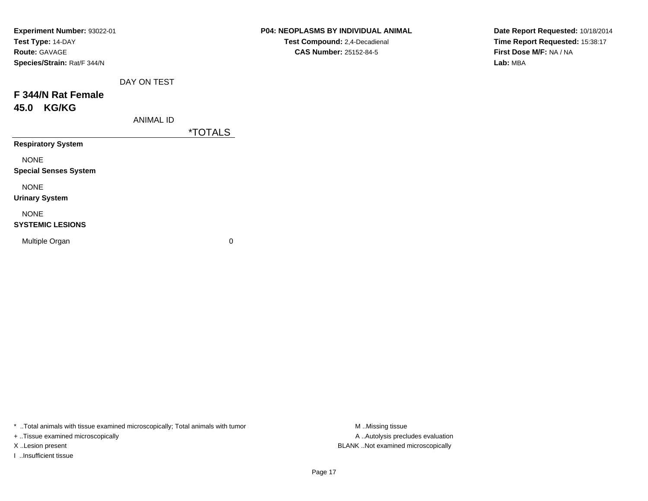| Experiment Number: 93022-01  |             |                       | P04: NEOPLASMS BY INDIVIDUAL ANIMAL | Date Report Requested: 10/18/2014 |
|------------------------------|-------------|-----------------------|-------------------------------------|-----------------------------------|
| Test Type: 14-DAY            |             |                       | Test Compound: 2,4-Decadienal       | Time Report Requested: 15:38:17   |
| <b>Route: GAVAGE</b>         |             |                       | <b>CAS Number: 25152-84-5</b>       | First Dose M/F: NA / NA           |
| Species/Strain: Rat/F 344/N  |             |                       |                                     | Lab: MBA                          |
|                              | DAY ON TEST |                       |                                     |                                   |
| F 344/N Rat Female           |             |                       |                                     |                                   |
| <b>KG/KG</b><br>45.0         |             |                       |                                     |                                   |
|                              | ANIMAL ID   |                       |                                     |                                   |
|                              |             | <i><b>*TOTALS</b></i> |                                     |                                   |
| <b>Respiratory System</b>    |             |                       |                                     |                                   |
| <b>NONE</b>                  |             |                       |                                     |                                   |
| <b>Special Senses System</b> |             |                       |                                     |                                   |
| <b>NONE</b>                  |             |                       |                                     |                                   |
| <b>Urinary System</b>        |             |                       |                                     |                                   |
| <b>NONE</b>                  |             |                       |                                     |                                   |
| <b>SYSTEMIC LESIONS</b>      |             |                       |                                     |                                   |
| Multiple Organ               |             | $\mathbf 0$           |                                     |                                   |
|                              |             |                       |                                     |                                   |

+ ..Tissue examined microscopically

I ..Insufficient tissue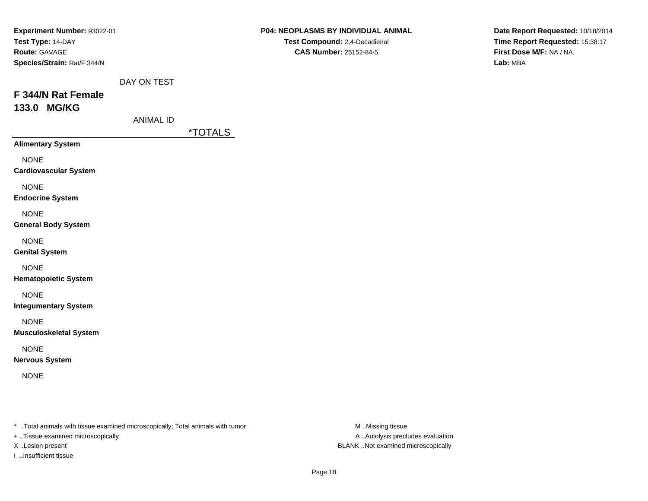| 133.0 MG/KG<br><b>ANIMAL ID</b><br><i><b>*TOTALS</b></i><br><b>Alimentary System</b><br><b>NONE</b><br><b>Cardiovascular System</b><br><b>NONE</b><br><b>Endocrine System</b><br><b>NONE</b><br><b>General Body System</b><br><b>NONE</b><br><b>Genital System</b><br><b>NONE</b><br><b>Hematopoietic System</b><br><b>NONE</b><br><b>Integumentary System</b><br><b>NONE</b><br><b>Musculoskeletal System</b><br><b>NONE</b><br><b>Nervous System</b><br><b>NONE</b> | Experiment Number: 93022-01<br>Test Type: 14-DAY<br>Route: GAVAGE<br>Species/Strain: Rat/F 344/N<br>F 344/N Rat Female | DAY ON TEST | P04: NEOPLASMS BY INDIVIDUAL ANIMAL<br>Test Compound: 2,4-Decadienal<br>CAS Number: 25152-84-5 | Date Report Requested: 10/18/2014<br>Time Report Requested: 15:38:17<br>First Dose M/F: NA / NA<br>Lab: MBA |
|-----------------------------------------------------------------------------------------------------------------------------------------------------------------------------------------------------------------------------------------------------------------------------------------------------------------------------------------------------------------------------------------------------------------------------------------------------------------------|------------------------------------------------------------------------------------------------------------------------|-------------|------------------------------------------------------------------------------------------------|-------------------------------------------------------------------------------------------------------------|
|                                                                                                                                                                                                                                                                                                                                                                                                                                                                       |                                                                                                                        |             |                                                                                                |                                                                                                             |
|                                                                                                                                                                                                                                                                                                                                                                                                                                                                       |                                                                                                                        |             |                                                                                                |                                                                                                             |
|                                                                                                                                                                                                                                                                                                                                                                                                                                                                       |                                                                                                                        |             |                                                                                                |                                                                                                             |
|                                                                                                                                                                                                                                                                                                                                                                                                                                                                       |                                                                                                                        |             |                                                                                                |                                                                                                             |
|                                                                                                                                                                                                                                                                                                                                                                                                                                                                       |                                                                                                                        |             |                                                                                                |                                                                                                             |
|                                                                                                                                                                                                                                                                                                                                                                                                                                                                       |                                                                                                                        |             |                                                                                                |                                                                                                             |
|                                                                                                                                                                                                                                                                                                                                                                                                                                                                       |                                                                                                                        |             |                                                                                                |                                                                                                             |
|                                                                                                                                                                                                                                                                                                                                                                                                                                                                       |                                                                                                                        |             |                                                                                                |                                                                                                             |
|                                                                                                                                                                                                                                                                                                                                                                                                                                                                       |                                                                                                                        |             |                                                                                                |                                                                                                             |
|                                                                                                                                                                                                                                                                                                                                                                                                                                                                       |                                                                                                                        |             |                                                                                                |                                                                                                             |
|                                                                                                                                                                                                                                                                                                                                                                                                                                                                       |                                                                                                                        |             |                                                                                                |                                                                                                             |

+ ..Tissue examined microscopically

I ..Insufficient tissue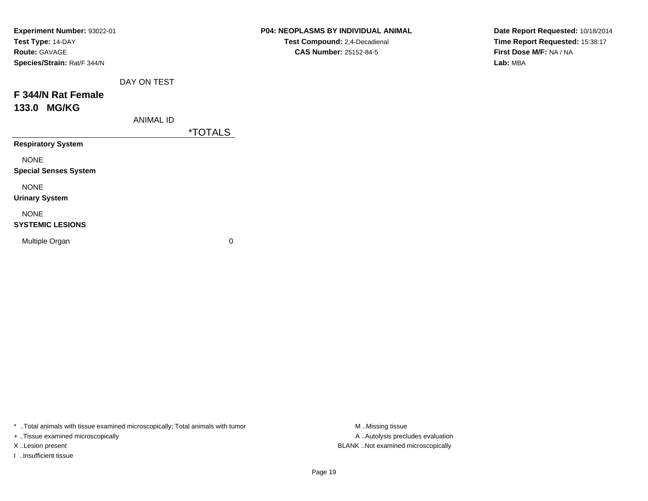| Experiment Number: 93022-01  |                  |                       | P04: NEOPLASMS BY INDIVIDUAL ANIMAL | Date Report Requested: 10/18/2014 |
|------------------------------|------------------|-----------------------|-------------------------------------|-----------------------------------|
| Test Type: 14-DAY            |                  |                       | Test Compound: 2,4-Decadienal       | Time Report Requested: 15:38:17   |
| <b>Route: GAVAGE</b>         |                  |                       | <b>CAS Number: 25152-84-5</b>       | First Dose M/F: NA / NA           |
| Species/Strain: Rat/F 344/N  |                  |                       |                                     | Lab: MBA                          |
|                              | DAY ON TEST      |                       |                                     |                                   |
| F 344/N Rat Female           |                  |                       |                                     |                                   |
| 133.0 MG/KG                  |                  |                       |                                     |                                   |
|                              | <b>ANIMAL ID</b> |                       |                                     |                                   |
|                              |                  | <i><b>*TOTALS</b></i> |                                     |                                   |
| <b>Respiratory System</b>    |                  |                       |                                     |                                   |
| <b>NONE</b>                  |                  |                       |                                     |                                   |
| <b>Special Senses System</b> |                  |                       |                                     |                                   |
| <b>NONE</b>                  |                  |                       |                                     |                                   |
| <b>Urinary System</b>        |                  |                       |                                     |                                   |
| <b>NONE</b>                  |                  |                       |                                     |                                   |
| <b>SYSTEMIC LESIONS</b>      |                  |                       |                                     |                                   |
| Multiple Organ               |                  | 0                     |                                     |                                   |
|                              |                  |                       |                                     |                                   |

+ ..Tissue examined microscopically

I ..Insufficient tissue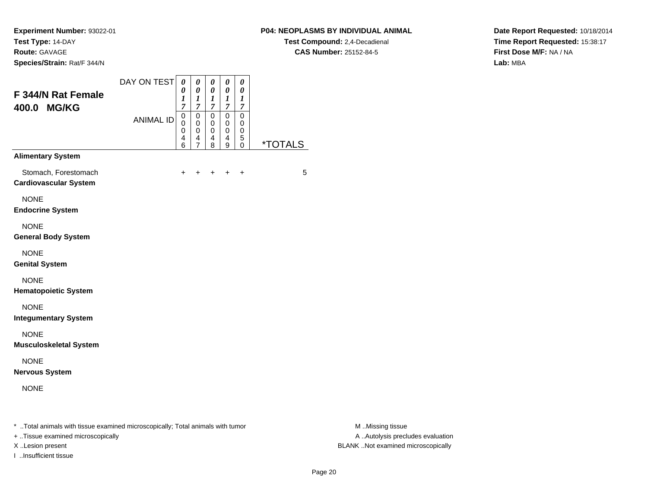## **P04: NEOPLASMS BY INDIVIDUAL ANIMAL**

**Test Compound:** 2,4-Decadienal **CAS Number:** 25152-84-5

**Date Report Requested:** 10/18/2014**Time Report Requested:** 15:38:17**First Dose M/F:** NA / NA**Lab:** MBA

| F 344/N Rat Female<br>400.0 MG/KG                    | DAY ON TEST      | $\boldsymbol{\theta}$<br>$\boldsymbol{\theta}$<br>$\boldsymbol{l}$<br>$\overline{7}$ | 0<br>0<br>1<br>$\overline{7}$      | 0<br>0<br>1<br>$\overline{7}$                  | 0<br>$\boldsymbol{\theta}$<br>$\bm{l}$<br>$\overline{7}$ | 0<br>0<br>1<br>$\overline{7}$ |                       |
|------------------------------------------------------|------------------|--------------------------------------------------------------------------------------|------------------------------------|------------------------------------------------|----------------------------------------------------------|-------------------------------|-----------------------|
|                                                      | <b>ANIMAL ID</b> | $\mathbf 0$<br>0<br>0<br>4<br>6                                                      | 0<br>0<br>0<br>4<br>$\overline{7}$ | $\mathbf 0$<br>0<br>$\boldsymbol{0}$<br>4<br>8 | 0<br>$\mathbf 0$<br>$\mathbf 0$<br>4<br>9                | 0<br>0<br>0<br>5<br>0         | <i><b>*TOTALS</b></i> |
| <b>Alimentary System</b>                             |                  |                                                                                      |                                    |                                                |                                                          |                               |                       |
| Stomach, Forestomach<br><b>Cardiovascular System</b> |                  | $\ddot{}$                                                                            |                                    | +                                              |                                                          | $\ddot{}$                     | 5                     |
| <b>NONE</b><br><b>Endocrine System</b>               |                  |                                                                                      |                                    |                                                |                                                          |                               |                       |
| <b>NONE</b><br><b>General Body System</b>            |                  |                                                                                      |                                    |                                                |                                                          |                               |                       |
| <b>NONE</b><br><b>Genital System</b>                 |                  |                                                                                      |                                    |                                                |                                                          |                               |                       |
| <b>NONE</b><br><b>Hematopoietic System</b>           |                  |                                                                                      |                                    |                                                |                                                          |                               |                       |
| <b>NONE</b><br><b>Integumentary System</b>           |                  |                                                                                      |                                    |                                                |                                                          |                               |                       |
| <b>NONE</b><br><b>Musculoskeletal System</b>         |                  |                                                                                      |                                    |                                                |                                                          |                               |                       |
| <b>NONE</b><br><b>Nervous System</b>                 |                  |                                                                                      |                                    |                                                |                                                          |                               |                       |
| <b>NONE</b>                                          |                  |                                                                                      |                                    |                                                |                                                          |                               |                       |

+ ..Tissue examined microscopically

I ..Insufficient tissue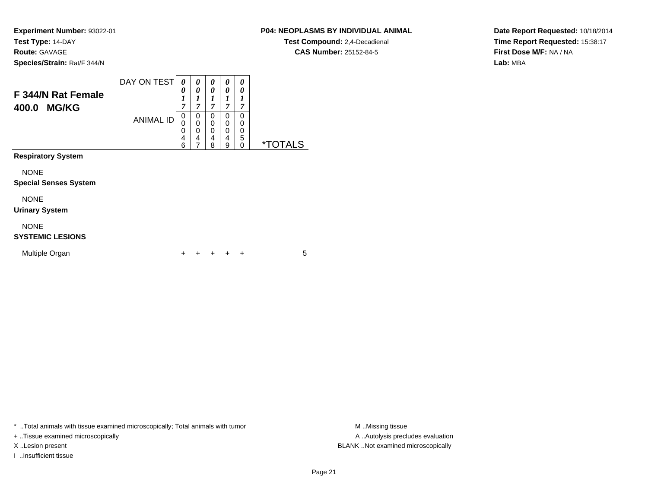## **P04: NEOPLASMS BY INDIVIDUAL ANIMAL**

**Test Compound:** 2,4-Decadienal **CAS Number:** 25152-84-5

**Date Report Requested:** 10/18/2014**Time Report Requested:** 15:38:17**First Dose M/F:** NA / NA**Lab:** MBA

| F 344/N Rat Female<br>400.0 MG/KG           | DAY ON TEST      | 0<br>0<br>1<br>7                          | 0<br>0<br>1<br>7                    | 0<br>0<br>1<br>$\overline{7}$             | 0<br>0<br>1<br>$\overline{7}$ | 0<br>0<br>1<br>7      |                       |
|---------------------------------------------|------------------|-------------------------------------------|-------------------------------------|-------------------------------------------|-------------------------------|-----------------------|-----------------------|
|                                             | <b>ANIMAL ID</b> | $\mathbf 0$<br>$\mathbf 0$<br>0<br>4<br>6 | $\Omega$<br>$\Omega$<br>0<br>4<br>7 | 0<br>$\mathbf 0$<br>$\mathbf 0$<br>4<br>8 | 0<br>0<br>0<br>4<br>9         | 0<br>0<br>0<br>5<br>0 | <i><b>*TOTALS</b></i> |
| <b>Respiratory System</b>                   |                  |                                           |                                     |                                           |                               |                       |                       |
| <b>NONE</b><br><b>Special Senses System</b> |                  |                                           |                                     |                                           |                               |                       |                       |
| <b>NONE</b><br><b>Urinary System</b>        |                  |                                           |                                     |                                           |                               |                       |                       |
| <b>NONE</b><br><b>SYSTEMIC LESIONS</b>      |                  |                                           |                                     |                                           |                               |                       |                       |
| Multiple Organ                              |                  |                                           |                                     |                                           |                               | ÷                     | 5                     |

\* ..Total animals with tissue examined microscopically; Total animals with tumor **M** . Missing tissue M ..Missing tissue

+ ..Tissue examined microscopically

I ..Insufficient tissue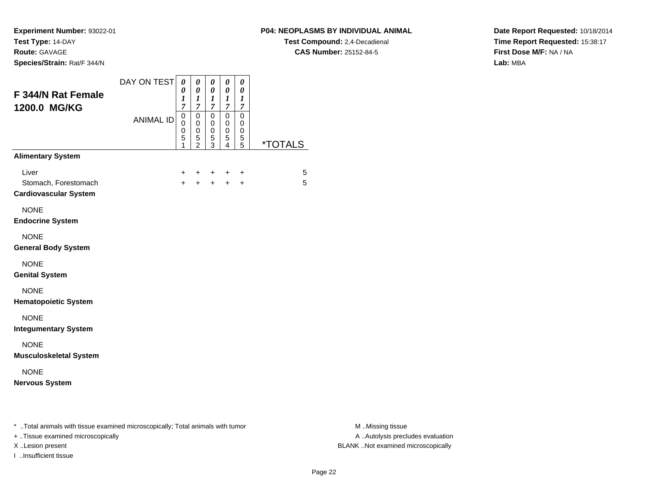**Experiment Number:** 93022-01**Test Type:** 14-DAY**Route:** GAVAGE

**Species/Strain:** Rat/F 344/N

## **P04: NEOPLASMS BY INDIVIDUAL ANIMAL**

**Test Compound:** 2,4-Decadienal **CAS Number:** 25152-84-5

**Date Report Requested:** 10/18/2014**Time Report Requested:** 15:38:17**First Dose M/F:** NA / NA**Lab:** MBA

| F 344/N Rat Female<br>1200.0 MG/KG                                                                                  | DAY ON TEST<br><b>ANIMAL ID</b> | 0<br>0<br>1<br>$\overline{7}$<br>$\mathsf 0$<br>0<br>0<br>5<br>1 | $\pmb{\theta}$<br>$\boldsymbol{\theta}$<br>$\boldsymbol{l}$<br>$\overline{7}$<br>$\pmb{0}$<br>$\pmb{0}$<br>0<br>$\frac{5}{2}$ | $\pmb{\theta}$<br>$\boldsymbol{\theta}$<br>$\boldsymbol{l}$<br>$\overline{7}$<br>$\overline{0}$<br>$\pmb{0}$<br>0<br>5<br>$\overline{3}$ | $\pmb{\theta}$<br>$\pmb{\theta}$<br>$\frac{1}{7}$<br>$\pmb{0}$<br>$\pmb{0}$<br>$\pmb{0}$<br>$\sqrt{5}$<br>$\overline{4}$ | $\pmb{\theta}$<br>$\pmb{\theta}$<br>$\boldsymbol{l}$<br>$\overline{7}$<br>$\overline{0}$<br>$\mathbf 0$<br>0<br>5<br>5 | <i><b>*TOTALS</b></i> |                                                       |
|---------------------------------------------------------------------------------------------------------------------|---------------------------------|------------------------------------------------------------------|-------------------------------------------------------------------------------------------------------------------------------|------------------------------------------------------------------------------------------------------------------------------------------|--------------------------------------------------------------------------------------------------------------------------|------------------------------------------------------------------------------------------------------------------------|-----------------------|-------------------------------------------------------|
| <b>Alimentary System</b>                                                                                            |                                 |                                                                  |                                                                                                                               |                                                                                                                                          |                                                                                                                          |                                                                                                                        |                       |                                                       |
| Liver<br>Stomach, Forestomach<br><b>Cardiovascular System</b>                                                       |                                 | +                                                                |                                                                                                                               |                                                                                                                                          |                                                                                                                          | +<br>$\ddot{}$                                                                                                         | 5<br>5                |                                                       |
| <b>NONE</b><br><b>Endocrine System</b>                                                                              |                                 |                                                                  |                                                                                                                               |                                                                                                                                          |                                                                                                                          |                                                                                                                        |                       |                                                       |
| <b>NONE</b><br><b>General Body System</b>                                                                           |                                 |                                                                  |                                                                                                                               |                                                                                                                                          |                                                                                                                          |                                                                                                                        |                       |                                                       |
| <b>NONE</b><br><b>Genital System</b>                                                                                |                                 |                                                                  |                                                                                                                               |                                                                                                                                          |                                                                                                                          |                                                                                                                        |                       |                                                       |
| <b>NONE</b><br><b>Hematopoietic System</b>                                                                          |                                 |                                                                  |                                                                                                                               |                                                                                                                                          |                                                                                                                          |                                                                                                                        |                       |                                                       |
| <b>NONE</b><br><b>Integumentary System</b>                                                                          |                                 |                                                                  |                                                                                                                               |                                                                                                                                          |                                                                                                                          |                                                                                                                        |                       |                                                       |
| <b>NONE</b><br><b>Musculoskeletal System</b>                                                                        |                                 |                                                                  |                                                                                                                               |                                                                                                                                          |                                                                                                                          |                                                                                                                        |                       |                                                       |
| <b>NONE</b><br><b>Nervous System</b>                                                                                |                                 |                                                                  |                                                                                                                               |                                                                                                                                          |                                                                                                                          |                                                                                                                        |                       |                                                       |
| * Total animals with tissue examined microscopically; Total animals with tumor<br>+ Tissue examined microscopically |                                 |                                                                  |                                                                                                                               |                                                                                                                                          |                                                                                                                          |                                                                                                                        |                       | M Missing tissue<br>A  Autolysis precludes evaluation |

I ..Insufficient tissue

M ..Missing tissue X ..Lesion present BLANK ..Not examined microscopically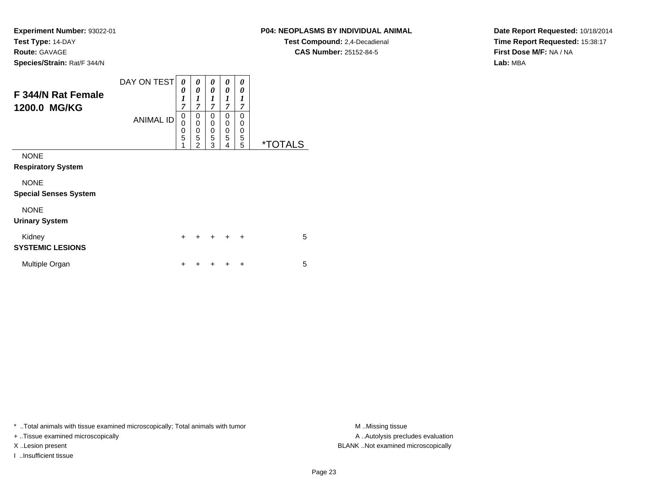## **P04: NEOPLASMS BY INDIVIDUAL ANIMAL**

**Test Compound:** 2,4-Decadienal **CAS Number:** 25152-84-5

**Date Report Requested:** 10/18/2014**Time Report Requested:** 15:38:17**First Dose M/F:** NA / NA**Lab:** MBA

| F 344/N Rat Female<br>1200.0 MG/KG          | DAY ON TEST      | 0<br>0<br>$\boldsymbol{l}$<br>7                        | 0<br>0<br>1<br>7                                       | 0<br>0<br>1<br>7      | 0<br>0<br>1<br>7      | 0<br>0<br>1<br>$\overline{7}$ |                       |
|---------------------------------------------|------------------|--------------------------------------------------------|--------------------------------------------------------|-----------------------|-----------------------|-------------------------------|-----------------------|
|                                             | <b>ANIMAL ID</b> | 0<br>$\mathbf 0$<br>$\mathbf 0$<br>$\overline{5}$<br>1 | 0<br>$\mathbf 0$<br>$\mathbf 0$<br>5<br>$\mathfrak{p}$ | 0<br>0<br>0<br>5<br>3 | 0<br>0<br>0<br>5<br>4 | 0<br>0<br>0<br>5<br>5         | <i><b>*TOTALS</b></i> |
| <b>NONE</b><br><b>Respiratory System</b>    |                  |                                                        |                                                        |                       |                       |                               |                       |
| <b>NONE</b><br><b>Special Senses System</b> |                  |                                                        |                                                        |                       |                       |                               |                       |
| <b>NONE</b><br><b>Urinary System</b>        |                  |                                                        |                                                        |                       |                       |                               |                       |
| Kidney<br><b>SYSTEMIC LESIONS</b>           |                  | $\ddot{}$                                              | ÷                                                      | $\div$                | $\div$                | $\ddot{}$                     | 5                     |
| Multiple Organ                              |                  | ٠                                                      |                                                        |                       |                       | ÷                             | 5                     |

\* ..Total animals with tissue examined microscopically; Total animals with tumor **M** . Missing tissue M ..Missing tissue

+ ..Tissue examined microscopically

I ..Insufficient tissue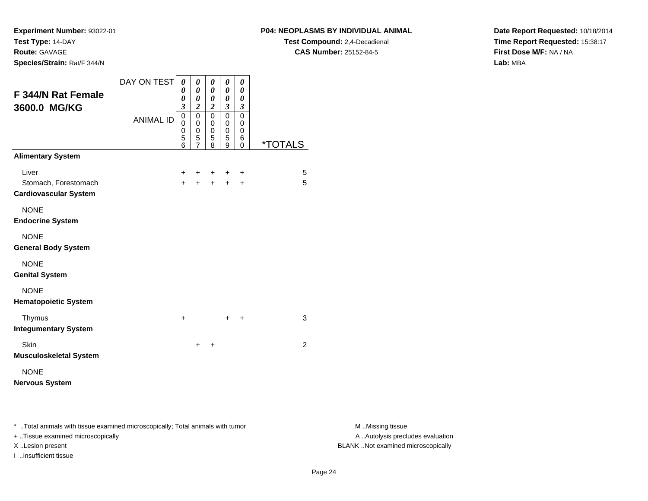**Experiment Number:** 93022-01**Test Type:** 14-DAY**Route:** GAVAGE

**Species/Strain:** Rat/F 344/N

## **P04: NEOPLASMS BY INDIVIDUAL ANIMAL**

**Test Compound:** 2,4-Decadienal **CAS Number:** 25152-84-5

**Date Report Requested:** 10/18/2014**Time Report Requested:** 15:38:17**First Dose M/F:** NA / NA**Lab:** MBA

| <b>F344/N Rat Female</b><br>3600.0 MG/KG                      | DAY ON TEST      | 0<br>0<br>0<br>3      | 0<br>0<br>0<br>$\overline{c}$                | 0<br>0<br>0<br>$\boldsymbol{2}$ | 0<br>0<br>0<br>$\boldsymbol{\beta}$ | 0<br>0<br>0<br>3      |                       |
|---------------------------------------------------------------|------------------|-----------------------|----------------------------------------------|---------------------------------|-------------------------------------|-----------------------|-----------------------|
|                                                               | <b>ANIMAL ID</b> | 0<br>0<br>0<br>5<br>6 | $\mathbf 0$<br>0<br>0<br>5<br>$\overline{7}$ | 0<br>0<br>$\mathbf 0$<br>5<br>8 | 0<br>0<br>$\mathbf 0$<br>5<br>9     | 0<br>0<br>0<br>6<br>0 | <i><b>*TOTALS</b></i> |
| <b>Alimentary System</b>                                      |                  |                       |                                              |                                 |                                     |                       |                       |
| Liver<br>Stomach, Forestomach<br><b>Cardiovascular System</b> |                  | $\pm$<br>$+$          | ٠<br>$\ddot{}$                               | ÷<br>$\ddot{}$                  | ÷<br>$\pm$                          | ÷<br>$\ddot{}$        | 5<br>5                |
| <b>NONE</b><br><b>Endocrine System</b>                        |                  |                       |                                              |                                 |                                     |                       |                       |
| <b>NONE</b><br><b>General Body System</b>                     |                  |                       |                                              |                                 |                                     |                       |                       |
| <b>NONE</b><br><b>Genital System</b>                          |                  |                       |                                              |                                 |                                     |                       |                       |
| <b>NONE</b><br><b>Hematopoietic System</b>                    |                  |                       |                                              |                                 |                                     |                       |                       |
| Thymus<br><b>Integumentary System</b>                         |                  | $\ddot{}$             |                                              |                                 | +                                   | +                     | 3                     |
| Skin<br><b>Musculoskeletal System</b>                         |                  |                       | $\pm$                                        | $\ddot{}$                       |                                     |                       | $\overline{2}$        |
| <b>NONE</b><br><b>Nervous System</b>                          |                  |                       |                                              |                                 |                                     |                       |                       |

\* ..Total animals with tissue examined microscopically; Total animals with tumor **M** . Missing tissue M ..Missing tissue

+ ..Tissue examined microscopically

I ..Insufficient tissue